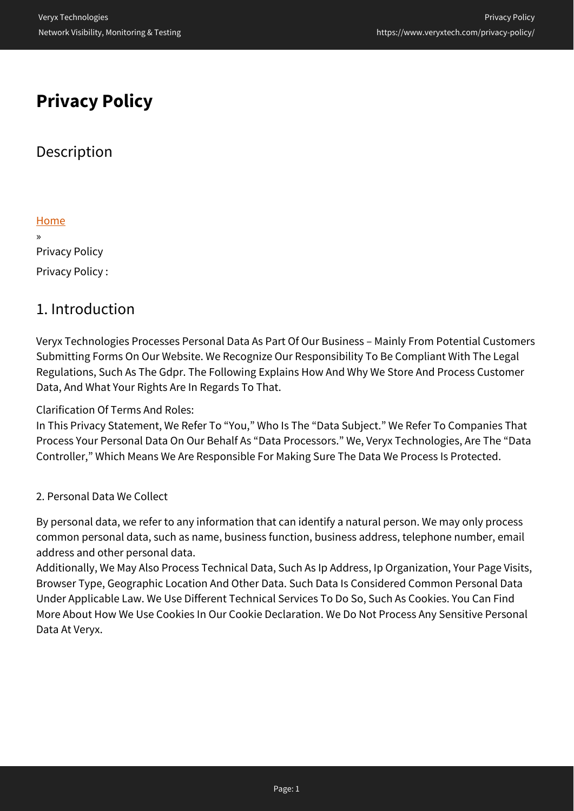# **Privacy Policy**

# **Description**

### [Home](https://www.veryxtech.com)

» Privacy Policy Privacy Policy :

# 1. Introduction

Veryx Technologies Processes Personal Data As Part Of Our Business – Mainly From Potential Customers Submitting Forms On Our Website. We Recognize Our Responsibility To Be Compliant With The Legal Regulations, Such As The Gdpr. The Following Explains How And Why We Store And Process Customer Data, And What Your Rights Are In Regards To That.

## Clarification Of Terms And Roles:

In This Privacy Statement, We Refer To "You," Who Is The "Data Subject." We Refer To Companies That Process Your Personal Data On Our Behalf As "Data Processors." We, Veryx Technologies, Are The "Data Controller," Which Means We Are Responsible For Making Sure The Data We Process Is Protected.

## 2. Personal Data We Collect

By personal data, we refer to any information that can identify a natural person. We may only process common personal data, such as name, business function, business address, telephone number, email address and other personal data.

Additionally, We May Also Process Technical Data, Such As Ip Address, Ip Organization, Your Page Visits, Browser Type, Geographic Location And Other Data. Such Data Is Considered Common Personal Data Under Applicable Law. We Use Different Technical Services To Do So, Such As Cookies. You Can Find More About How We Use Cookies In Our Cookie Declaration. We Do Not Process Any Sensitive Personal Data At Veryx.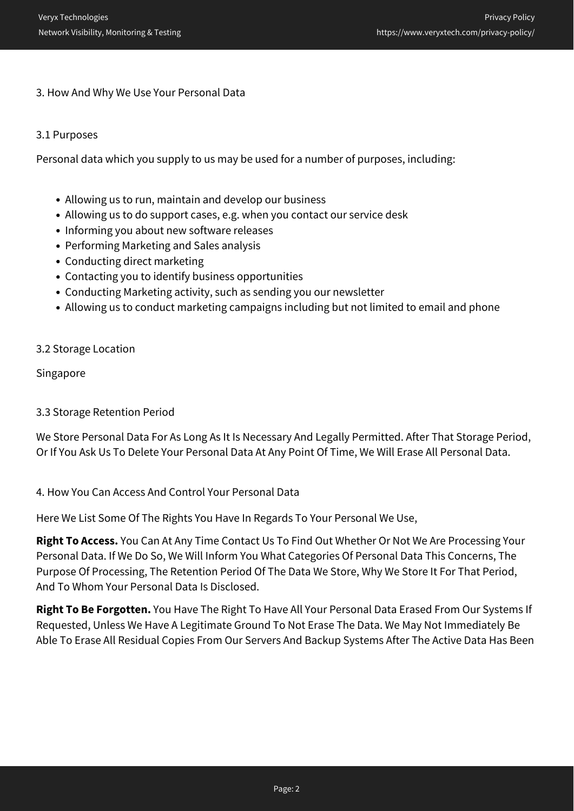#### 3. How And Why We Use Your Personal Data

#### 3.1 Purposes

Personal data which you supply to us may be used for a number of purposes, including:

- Allowing us to run, maintain and develop our business
- Allowing us to do support cases, e.g. when you contact our service desk
- Informing you about new software releases
- Performing Marketing and Sales analysis
- Conducting direct marketing
- Contacting you to identify business opportunities
- Conducting Marketing activity, such as sending you our newsletter
- Allowing us to conduct marketing campaigns including but not limited to email and phone

#### 3.2 Storage Location

Singapore

#### 3.3 Storage Retention Period

We Store Personal Data For As Long As It Is Necessary And Legally Permitted. After That Storage Period, Or If You Ask Us To Delete Your Personal Data At Any Point Of Time, We Will Erase All Personal Data.

#### 4. How You Can Access And Control Your Personal Data

Here We List Some Of The Rights You Have In Regards To Your Personal We Use,

**Right To Access.** You Can At Any Time Contact Us To Find Out Whether Or Not We Are Processing Your Personal Data. If We Do So, We Will Inform You What Categories Of Personal Data This Concerns, The Purpose Of Processing, The Retention Period Of The Data We Store, Why We Store It For That Period, And To Whom Your Personal Data Is Disclosed.

**Right To Be Forgotten.** You Have The Right To Have All Your Personal Data Erased From Our Systems If Requested, Unless We Have A Legitimate Ground To Not Erase The Data. We May Not Immediately Be Able To Erase All Residual Copies From Our Servers And Backup Systems After The Active Data Has Been